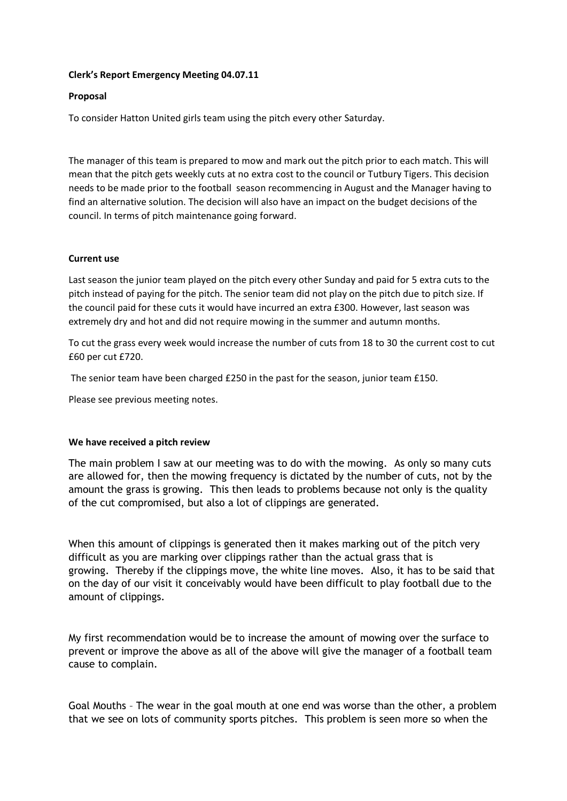## **Clerk's Report Emergency Meeting 04.07.11**

# **Proposal**

To consider Hatton United girls team using the pitch every other Saturday.

The manager of this team is prepared to mow and mark out the pitch prior to each match. This will mean that the pitch gets weekly cuts at no extra cost to the council or Tutbury Tigers. This decision needs to be made prior to the football season recommencing in August and the Manager having to find an alternative solution. The decision will also have an impact on the budget decisions of the council. In terms of pitch maintenance going forward.

## **Current use**

Last season the junior team played on the pitch every other Sunday and paid for 5 extra cuts to the pitch instead of paying for the pitch. The senior team did not play on the pitch due to pitch size. If the council paid for these cuts it would have incurred an extra £300. However, last season was extremely dry and hot and did not require mowing in the summer and autumn months.

To cut the grass every week would increase the number of cuts from 18 to 30 the current cost to cut £60 per cut £720.

The senior team have been charged £250 in the past for the season, junior team £150.

Please see previous meeting notes.

## **We have received a pitch review**

The main problem I saw at our meeting was to do with the mowing. As only so many cuts are allowed for, then the mowing frequency is dictated by the number of cuts, not by the amount the grass is growing. This then leads to problems because not only is the quality of the cut compromised, but also a lot of clippings are generated.

When this amount of clippings is generated then it makes marking out of the pitch very difficult as you are marking over clippings rather than the actual grass that is growing. Thereby if the clippings move, the white line moves. Also, it has to be said that on the day of our visit it conceivably would have been difficult to play football due to the amount of clippings.

My first recommendation would be to increase the amount of mowing over the surface to prevent or improve the above as all of the above will give the manager of a football team cause to complain.

Goal Mouths – The wear in the goal mouth at one end was worse than the other, a problem that we see on lots of community sports pitches. This problem is seen more so when the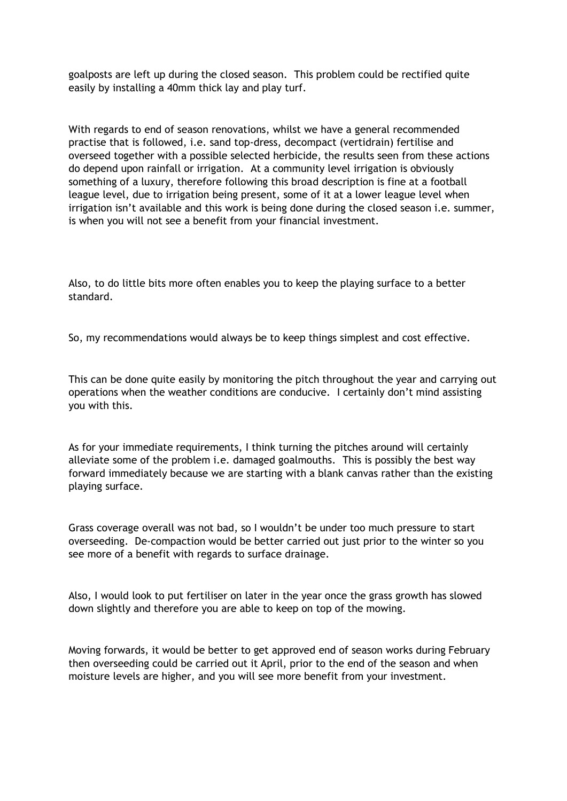goalposts are left up during the closed season. This problem could be rectified quite easily by installing a 40mm thick lay and play turf.

With regards to end of season renovations, whilst we have a general recommended practise that is followed, i.e. sand top-dress, decompact (vertidrain) fertilise and overseed together with a possible selected herbicide, the results seen from these actions do depend upon rainfall or irrigation. At a community level irrigation is obviously something of a luxury, therefore following this broad description is fine at a football league level, due to irrigation being present, some of it at a lower league level when irrigation isn't available and this work is being done during the closed season i.e. summer, is when you will not see a benefit from your financial investment.

Also, to do little bits more often enables you to keep the playing surface to a better standard.

So, my recommendations would always be to keep things simplest and cost effective.

This can be done quite easily by monitoring the pitch throughout the year and carrying out operations when the weather conditions are conducive. I certainly don't mind assisting you with this.

As for your immediate requirements, I think turning the pitches around will certainly alleviate some of the problem i.e. damaged goalmouths. This is possibly the best way forward immediately because we are starting with a blank canvas rather than the existing playing surface.

Grass coverage overall was not bad, so I wouldn't be under too much pressure to start overseeding. De-compaction would be better carried out just prior to the winter so you see more of a benefit with regards to surface drainage.

Also, I would look to put fertiliser on later in the year once the grass growth has slowed down slightly and therefore you are able to keep on top of the mowing.

Moving forwards, it would be better to get approved end of season works during February then overseeding could be carried out it April, prior to the end of the season and when moisture levels are higher, and you will see more benefit from your investment.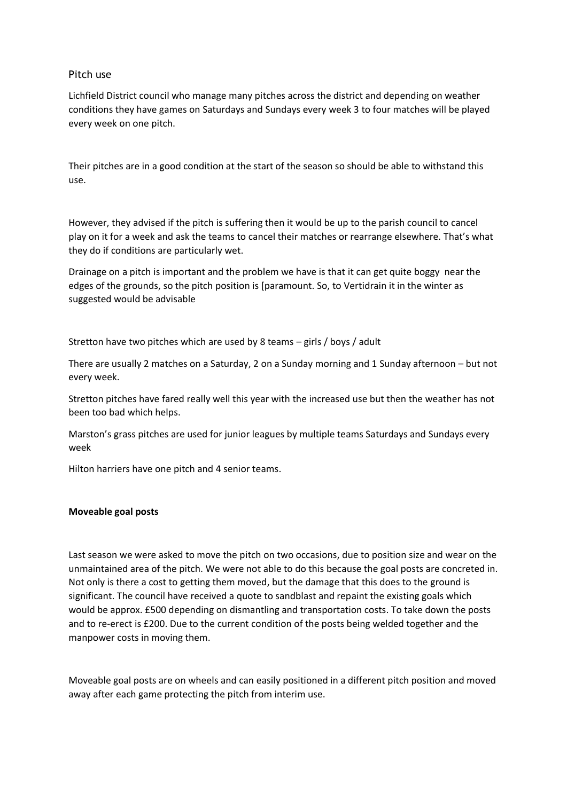## Pitch use

Lichfield District council who manage many pitches across the district and depending on weather conditions they have games on Saturdays and Sundays every week 3 to four matches will be played every week on one pitch.

Their pitches are in a good condition at the start of the season so should be able to withstand this use.

However, they advised if the pitch is suffering then it would be up to the parish council to cancel play on it for a week and ask the teams to cancel their matches or rearrange elsewhere. That's what they do if conditions are particularly wet.

Drainage on a pitch is important and the problem we have is that it can get quite boggy near the edges of the grounds, so the pitch position is [paramount. So, to Vertidrain it in the winter as suggested would be advisable

Stretton have two pitches which are used by 8 teams – girls / boys / adult

There are usually 2 matches on a Saturday, 2 on a Sunday morning and 1 Sunday afternoon – but not every week.

Stretton pitches have fared really well this year with the increased use but then the weather has not been too bad which helps.

Marston's grass pitches are used for junior leagues by multiple teams Saturdays and Sundays every week

Hilton harriers have one pitch and 4 senior teams.

#### **Moveable goal posts**

Last season we were asked to move the pitch on two occasions, due to position size and wear on the unmaintained area of the pitch. We were not able to do this because the goal posts are concreted in. Not only is there a cost to getting them moved, but the damage that this does to the ground is significant. The council have received a quote to sandblast and repaint the existing goals which would be approx. £500 depending on dismantling and transportation costs. To take down the posts and to re-erect is £200. Due to the current condition of the posts being welded together and the manpower costs in moving them.

Moveable goal posts are on wheels and can easily positioned in a different pitch position and moved away after each game protecting the pitch from interim use.